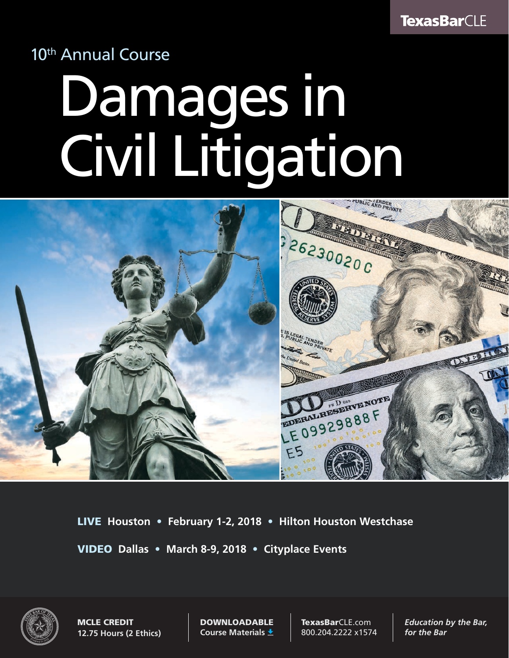## 10<sup>th</sup> Annual Course

# Damages in Civil Litigation



LIVE **Houston** • **February 1-2, 2018** • **Hilton Houston Westchase**  VIDEO **Dallas** • **March 8-9, 2018** • **Cityplace Events**



MCLE CREDIT **12.75 Hours (2 Ethics)** DOWNLOADABLE **Course Materials**

TexasBarCLE.com 800.204.2222 x1574 *Education by the Bar, for the Bar*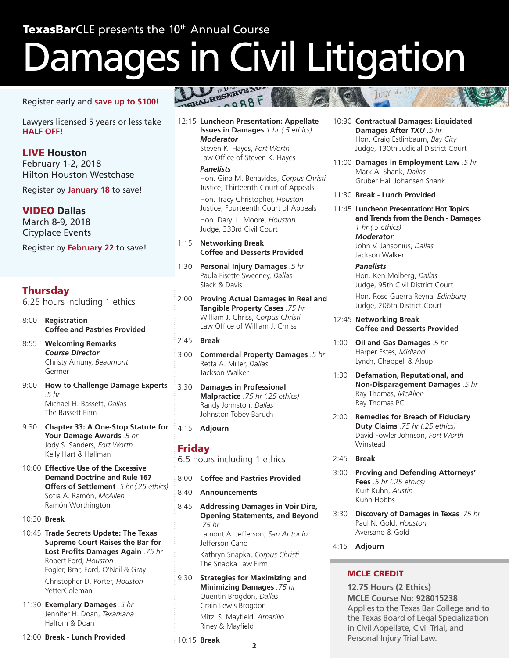# Damages in Civil Litigation

Register early and **save up to \$100!**

Lawyers licensed 5 years or less take **HALF OFF!**

LIVE **Houston** February 1-2, 2018 Hilton Houston Westchase

Register by **January 18** to save!

VIDEO **Dallas**

March 8-9, 2018 Cityplace Events

Register by **February 22** to save!

#### **Thursday**

6.25 hours including 1 ethics

- 8:00 **Registration Coffee and Pastries Provided**
- 8:55 **Welcoming Remarks** *Course Director* Christy Amuny, *Beaumont* Germer
- 9:00 **How to Challenge Damage Experts** *.5 hr* Michael H. Bassett, *Dallas* The Bassett Firm
- 9:30 **Chapter 33: A One-Stop Statute for Your Damage Awards** *.5 hr* Jody S. Sanders, *Fort Worth* Kelly Hart & Hallman
- 10:00 **Effective Use of the Excessive Demand Doctrine and Rule 167 Offers of Settlement** *.5 hr (.25 ethics)* Sofia A. Ramón, *McAllen* Ramón Worthington
- 10:30 **Break**
- 10:45 **Trade Secrets Update: The Texas Supreme Court Raises the Bar for Lost Profits Damages Again** *.75 hr* Robert Ford, *Houston* Fogler, Brar, Ford, O'Neil & Gray Christopher D. Porter, *Houston* YetterColeman
- 11:30 **Exemplary Damages** *.5 hr* Jennifer H. Doan, *Texarkana* Haltom & Doan

12:00 **Break - Lunch Provided**

 $0.988F$ 

12:15 **Luncheon Presentation: Appellate Issues in Damages** *1 hr (.5 ethics) Moderator* Steven K. Hayes, *Fort Worth* Law Office of Steven K. Hayes

> *Panelists* Hon. Gina M. Benavides, *Corpus Christi* Justice, Thirteenth Court of Appeals

Hon. Tracy Christopher, *Houston* Justice, Fourteenth Court of Appeals Hon. Daryl L. Moore, *Houston* Judge, 333rd Civil Court

- 1:15 **Networking Break Coffee and Desserts Provided**
- 1:30 **Personal Injury Damages** *.5 hr* Paula Fisette Sweeney, *Dallas* Slack & Davis
- 2:00 **Proving Actual Damages in Real and Tangible Property Cases** *.75 hr* William J. Chriss, *Corpus Christi* Law Office of William J. Chriss
- 2:45 **Break**
- 3:00 **Commercial Property Damages** *.5 hr* Retta A. Miller, *Dallas* Jackson Walker
- 3:30 **Damages in Professional Malpractice** *.75 hr (.25 ethics)* Randy Johnston, *Dallas* Johnston Tobey Baruch
- 4:15 **Adjourn**

#### Friday

6.5 hours including 1 ethics

- 8:00 **Coffee and Pastries Provided**
- 8:40 **Announcements**
- 8:45 **Addressing Damages in Voir Dire, Opening Statements, and Beyond** *.75 hr* Lamont A. Jefferson, *San Antonio* Jefferson Cano Kathryn Snapka, *Corpus Christi* The Snapka Law Firm
- 9:30 **Strategies for Maximizing and Minimizing Damages** *.75 hr* Quentin Brogdon, *Dallas* Crain Lewis Brogdon

Mitzi S. Mayfield, *Amarillo* Riney & Mayfield

10:15 **Break**

- 10:30 **Contractual Damages: Liquidated Damages After** *TXU .5 hr* Hon. Craig Estlinbaum, *Bay City* Judge, 130th Judicial District Court
- 11:00 **Damages in Employment Law** *.5 hr* Mark A. Shank, *Dallas* Gruber Hail Johansen Shank

#### 11:30 **Break - Lunch Provided**

11:45 **Luncheon Presentation: Hot Topics and Trends from the Bench - Damages** *1 hr (.5 ethics) Moderator* John V. Jansonius, *Dallas* Jackson Walker

> *Panelists* Hon. Ken Molberg, *Dallas* Judge, 95th Civil District Court

Hon. Rose Guerra Reyna, *Edinburg* Judge, 206th District Court

- 12:45 **Networking Break Coffee and Desserts Provided**
- 1:00 **Oil and Gas Damages** *.5 hr* Harper Estes, *Midland* Lynch, Chappell & Alsup
- 1:30 **Defamation, Reputational, and Non-Disparagement Damages** *.5 hr* Ray Thomas, *McAllen* Ray Thomas PC
- 2:00 **Remedies for Breach of Fiduciary Duty Claims** *.75 hr (.25 ethics)* David Fowler Johnson, *Fort Worth* Winstead
- 2:45 **Break**
- 3:00 **Proving and Defending Attorneys' Fees** *.5 hr (.25 ethics)* Kurt Kuhn, *Austin* Kuhn Hobbs
- 3:30 **Discovery of Damages in Texas** *.75 hr* Paul N. Gold, *Houston* Aversano & Gold
- 4:15 **Adjourn**

#### MCLE CREDIT

**2 3 12.75 Hours (2 Ethics) MCLE Course No: 928015238** Applies to the Texas Bar College and to the Texas Board of Legal Specialization in Civil Appellate, Civil Trial, and Personal Injury Trial Law.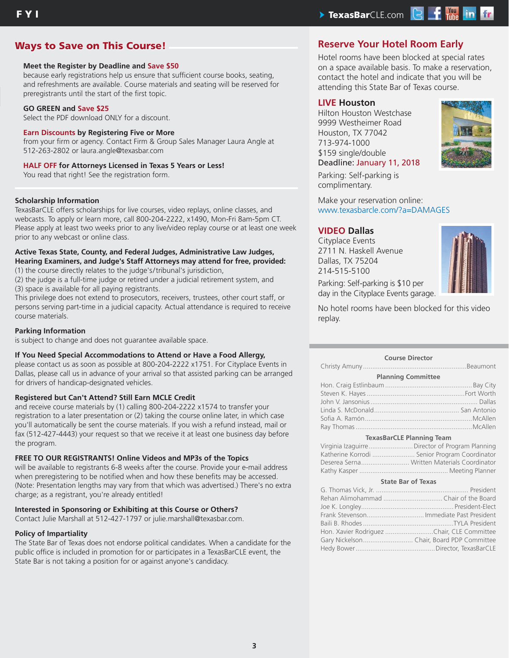### F Y I The contract of the contract of the contract of the contract of the contract of the contract of the contract of the contract of the contract of the contract of the contract of the contract of the contract of the cont

#### **Ways to Save on This Course!** And The Reserve Your Hotel Room Early

#### **Meet the Register by Deadline and Save \$50**

because early registrations help us ensure that sufficient course books, seating, and refreshments are available. Course materials and seating will be reserved for preregistrants until the start of the first topic.

#### **GO GREEN and Save \$25**

Select the PDF download ONLY for a discount.

#### **Earn Discounts by Registering Five or More**

from your firm or agency. Contact Firm & Group Sales Manager Laura Angle at 512-263-2802 or laura.angle@texasbar.com

#### **HALF OFF for Attorneys Licensed in Texas 5 Years or Less!**

You read that right! See the registration form.

#### **Scholarship Information**

TexasBarCLE offers scholarships for live courses, video replays, online classes, and webcasts. To apply or learn more, call 800-204-2222, x1490, Mon-Fri 8am-5pm CT. Please apply at least two weeks prior to any live/video replay course or at least one week prior to any webcast or online class.

#### **Active Texas State, County, and Federal Judges, Administrative Law Judges, Hearing Examiners, and Judge's Staff Attorneys may attend for free, provided:**

(1) the course directly relates to the judge's/tribunal's jurisdiction,

(2) the judge is a full-time judge or retired under a judicial retirement system, and (3) space is available for all paying registrants.

This privilege does not extend to prosecutors, receivers, trustees, other court staff, or persons serving part-time in a judicial capacity. Actual attendance is required to receive course materials.

#### **Parking Information**

is subject to change and does not guarantee available space.

#### **If You Need Special Accommodations to Attend or Have a Food Allergy,**

please contact us as soon as possible at 800-204-2222 x1751. For Cityplace Events in Dallas, please call us in advance of your arrival so that assisted parking can be arranged for drivers of handicap-designated vehicles.

#### **Registered but Can't Attend? Still Earn MCLE Credit**

and receive course materials by (1) calling 800-204-2222 x1574 to transfer your registration to a later presentation or (2) taking the course online later, in which case you'll automatically be sent the course materials. If you wish a refund instead, mail or fax (512-427-4443) your request so that we receive it at least one business day before the program.

#### **FREE TO OUR REGISTRANTS! Online Videos and MP3s of the Topics**

will be available to registrants 6-8 weeks after the course. Provide your e-mail address when preregistering to be notified when and how these benefits may be accessed. (Note: Presentation lengths may vary from that which was advertised.) There's no extra charge; as a registrant, you're already entitled!

#### **Interested in Sponsoring or Exhibiting at this Course or Others?**

Contact Julie Marshall at 512-427-1797 or julie.marshall@texasbar.com.

#### **Policy of Impartiality**

The State Bar of Texas does not endorse political candidates. When a candidate for the public office is included in promotion for or participates in a TexasBarCLE event, the State Bar is not taking a position for or against anyone's candidacy.

Hotel rooms have been blocked at special rates on a space available basis. To make a reservation, contact the hotel and indicate that you will be attending this State Bar of Texas course.

#### **LIVE Houston**

Hilton Houston Westchase 9999 Westheimer Road Houston, TX 77042 713-974-1000 \$159 single/double Deadline: January 11, 2018



Parking: Self-parking is complimentary.

Make your reservation online: www.texasbarcle.com/?a=DAMAGES

#### **VIDEO Dallas**

Cityplace Events 2711 N. Haskell Avenue Dallas, TX 75204 214-515-5100



Parking: Self-parking is \$10 per day in the Cityplace Events garage.

No hotel rooms have been blocked for this video replay.

#### **Course Director**

Christy Amuny ........................................................Beaumont

| <b>Planning Committee</b> |  |
|---------------------------|--|
|                           |  |
|                           |  |
|                           |  |
|                           |  |
|                           |  |
|                           |  |

#### **TexasBarCLE Planning Team**

| Virginia Izaguirre Director of Program Planning |  |
|-------------------------------------------------|--|
| Katherine Korrodi  Senior Program Coordinator   |  |
|                                                 |  |
|                                                 |  |

#### **State Bar of Texas**